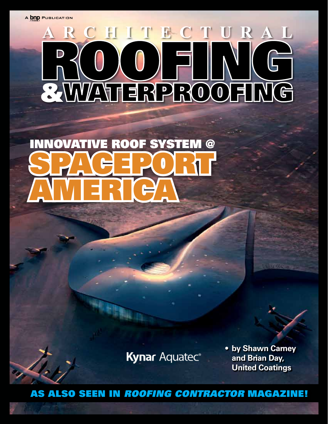A **bnp** PUBLICATION

# RCHITECT RA ROOFING

# SPACEPORT **AMERIC NOVATIVE ROOF SYSTEM @**

**Kynar Aquatec®** 

**• by Shawn Carney and Brian Day, United Coatings**

As also seen in *Roofing Contractor* Magazine!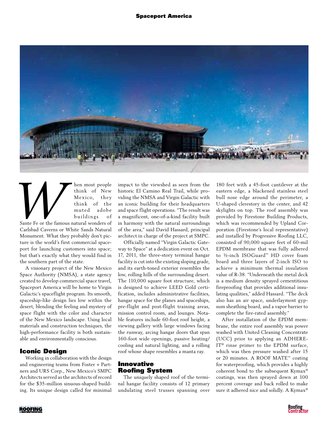

**Example 19 For the Mexico, they**<br> **Example 19 For Mexico, they**<br>
think of the<br>
muted adobe<br>
buildings of<br>
Sante Fe or the famous natural wonders of think of New Mexico, they think of the muted adobe buildings of Sante Fe or the famous natural wonders of Carlsbad Caverns or White Sands Natural Monument. What they probably don't picture is the world's first commercial spaceport for launching customers into space; but that's exactly what they would find in the southern part of the state.

A visionary project of the New Mexico Space Authority (NMSA), a state agency created to develop commercial space travel, Spaceport America will be home to Virgin Galactic's spaceflight program. Its smooth, spaceship-like design lies low within the desert, blending the feeling and mystery of space flight with the color and character of the New Mexico landscape. Using local materials and construction techniques, the high-performance facility is both sustainable and environmentally conscious.

## Iconic Design

Working in collaboration with the design and engineering teams from Foster + Partners and URS Corp., New Mexico's SMPC Architects served as the architects of record for the \$35-million sinuous-shaped building. Its unique design called for minimal

impact to the viewshed as seen from the historic El Camino Real Trail, while providing the NMSA and Virgin Galactic with an iconic building for their headquarters and space flight operations. "The result was a magnificent, one-of-a-kind facility built in harmony with the natural surroundings of the area," said David Hassard, principal architect in charge of the project at SMPC.

Officially named "Virgin Galactic Gateway to Space" at a dedication event on Oct. 17, 2011, the three-story terminal hangar facility is cut into the existing sloping grade, and its earth-toned exterior resembles the low, rolling hills of the surrounding desert. The 110,000 square foot structure, which is designed to achieve LEED Gold certification, includes administrative facilities, hangar space for the planes and spaceships, pre-flight and post-flight training areas, mission control room, and lounges. Notable features include 60-foot roof height, a viewing gallery with large windows facing the runway, arcing hangar doors that span 160-foot wide openings, passive heating/ cooling and natural lighting, and a rolling roof whose shape resembles a manta ray.

### Innovative Roofing System

The uniquely shaped roof of the terminal hangar facility consists of 12 primary undulating steel trusses spanning over

180 feet with a 45-foot cantilever at the eastern edge, a blackened stainless steel bull nose edge around the perimeter, a U-shaped clerestory in the center, and 42 skylights on top. The roof assembly was provided by Firestone Building Products, which was recommended by Upland Corporation (Firestone's local representative) and installed by Progressive Roofing LLC, consisted of 90,000 square feet of 60-mil EPDM membrane that was fully adhered to ½-inch ISOGuard™ HD cover foam board and three layers of 2-inch ISO to achieve a minimum thermal insulation value of R-38. "Underneath the metal deck is a medium density sprayed cementitious fireproofing that provides additional insulating qualities," added Hassard. "The deck also has an air space, underlayment gypsum sheathing board, and a vapor barrier to complete the fire-rated assembly."

After installation of the EPDM membrane, the entire roof assembly was power washed with United Cleaning Concentrate (UCC) prior to applying an ADHERE-IT® rinse primer to the EPDM surface, which was then pressure washed after 15 or 20 minutes. A ROOF MATE™ coating for waterproofing, which provides a highly coherent bond to the subsequent Kymax® coatings, was then sprayed down at 100 percent coverage and back rolled to make sure it adhered nice and solidly. A Kymax®



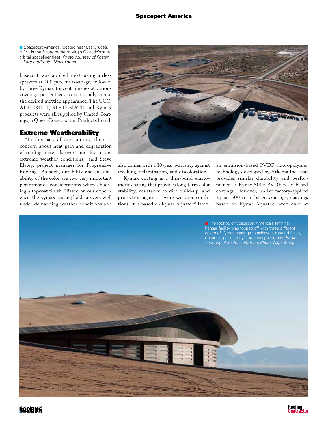Spaceport America, located near Las Cruces, N.M., is the future home of Virgin Galactic's suborbital spaceliner fleet. *Photo courtesy of Foster + Partners/Photo: Nigel Young.*

basecoat was applied next using airless sprayers at 100 percent coverage, followed by three Kymax topcoat finishes at various coverage percentages to artistically create the desired mottled appearance. The UCC, ADHERE IT, ROOF MATE and Kymax products were all supplied by United Coatings, a Quest Construction Products brand.

#### Extreme Weatherability

"In this part of the country, there is concern about heat gain and degradation of roofing materials over time due to the extreme weather conditions," said Steve Elsley, project manager for Progressive Roofing. "As such, durability and sustainability of the color are two very important performance considerations when choosing a topcoat finish. "Based on our experience, the Kymax coating holds up very well under demanding weather conditions and



also comes with a 10-year warranty against cracking, delamination, and discoloration."

Kymax coating is a thin-build elastomeric coating that provides long-term color stability, resistance to dirt build-up, and protection against severe weather conditions. It is based on Kynar Aquatec® latex,

an emulsion-based PVDF fluoropolymer technology developed by Arkema Inc. that provides similar durability and performance as Kynar 500® PVDF resin-based coatings. However, unlike factory-applied Kynar 500 resin-based coatings, coatings based on Kynar Aquatec latex cure at

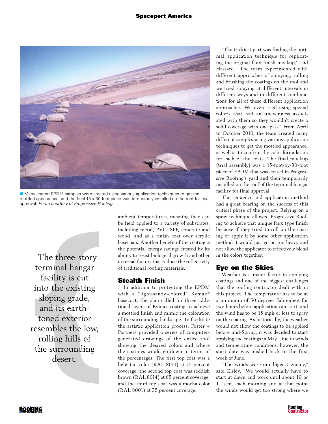#### Spaceport America



**n** Many coated EPDM samples were created using various application techniques to get the mottled appearance, and the final 15 x 30 foot piece was temporarily installed on the roof for final approval. *Photo courtesy of Progressive Roofing.*

The three-story<br>erminal hangar<br>facility is cut<br>nto the existing<br>sloping grade,<br>and its earth-<br>toned exterior<br>sembles the low<br>rolling hills of<br>he surrounding<br>desert. The three-story terminal hangar facility is cut into the existing sloping grade, and its earthtoned exterior resembles the low, rolling hills of the surrounding desert.

ambient temperatures, meaning they can be field applied to a variety of substrates, including metal, PVC, SPF, concrete and wood, and as a finish coat over acrylic basecoats. Another benefit of the coating is the potential energy savings created by its ability to resist biological growth and other external factors that reduce the reflectivity of traditional roofing materials.

#### Stealth Finish

In addition to protecting the EPDM with a "light-sandy-colored" Kymax® basecoat, the plan called for three additional layers of Kymax coating to achieve a mottled finish and mimic the coloration of the surrounding landscape. To facilitate the artistic application process, Foster + Partners provided a series of computergenerated drawings of the entire roof showing the desired colors and where the coatings would go down in terms of the percentages. The first top coat was a light tan color (RAL 8011) at 75 percent coverage, the second top coat was reddish brown (RAL 8014) at 65 percent coverage, and the third top coat was a mocha color (RAL 8001) at 35 percent coverage.

"The trickiest part was finding the optimal application technique for replicating the original faux finish mockup," said Hassard. "The team experimented with different approaches of spraying, rolling and brushing the coatings on the roof and we tried spraying at different intervals in different ways and in different combinations for all of these different application approaches. We even tried using special rollers that had an unevenness associated with them so they wouldn't create a solid coverage with one pass." From April to October 2010, the team created many different samples using various application techniques to get the mottled appearance, as well as to confirm the color formulation for each of the coats. The final mockup (trial assembly) was a 15-foot-by-30-foot piece of EPDM that was coated in Progressive Roofing's yard and then temporarily installed on the roof of the terminal hangar facility for final approval.

The sequence and application method had a great bearing on the success of this critical phase of the project. Relying on a spray technique allowed Progressive Roofing to achieve that unique faux type finish because if they tried to roll on the coating or apply it by some other application method it would just go on too heavy and not allow the applicator to effectively blend in the colors together.

#### Eye on the Skies

Weather is a major factor in applying coatings and one of the biggest challenges that the roofing contractor dealt with in this project. The temperature has to be at a minimum of 50 degrees Fahrenheit for two hours before application can start, and the wind has to be 15 mph or less to spray on the coating. As historically, the weather would not allow the coatings to be applied before mid-Spring, it was decided to start applying the coatings in May. Due to winds and temperature conditions, however, the start date was pushed back to the first week of June.

"The winds were our biggest enemy," said Elsley. "We would actually have to start at dawn and work until about 10 or 11 a.m. each morning and at that point the winds would get too strong where we